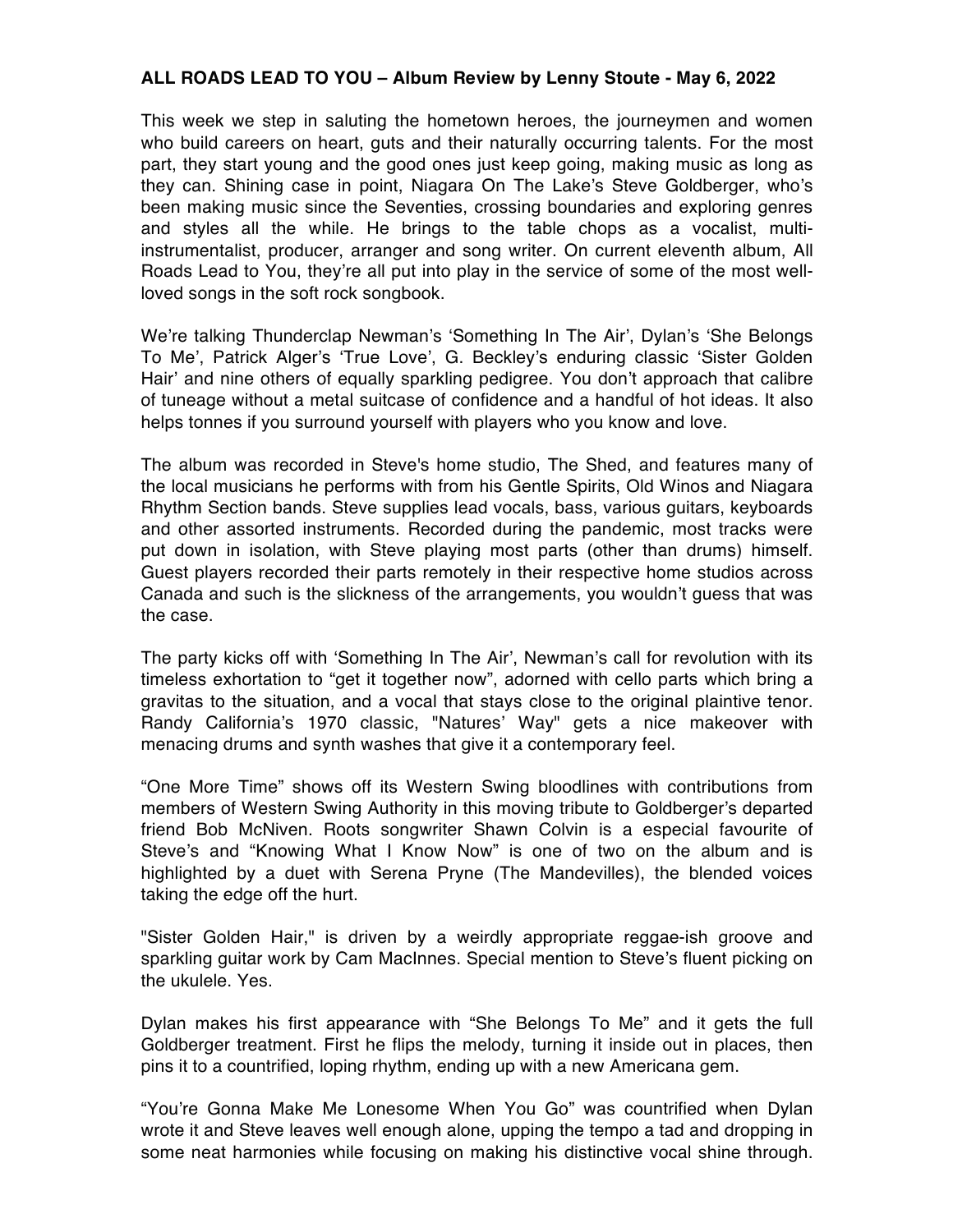## **ALL ROADS LEAD TO YOU – Album Review by Lenny Stoute - May 6, 2022**

This week we step in saluting the hometown heroes, the journeymen and women who build careers on heart, guts and their naturally occurring talents. For the most part, they start young and the good ones just keep going, making music as long as they can. Shining case in point, Niagara On The Lake's Steve Goldberger, who's been making music since the Seventies, crossing boundaries and exploring genres and styles all the while. He brings to the table chops as a vocalist, multiinstrumentalist, producer, arranger and song writer. On current eleventh album, All Roads Lead to You, they're all put into play in the service of some of the most wellloved songs in the soft rock songbook.

We're talking Thunderclap Newman's 'Something In The Air', Dylan's 'She Belongs To Me', Patrick Alger's 'True Love', G. Beckley's enduring classic 'Sister Golden Hair' and nine others of equally sparkling pedigree. You don't approach that calibre of tuneage without a metal suitcase of confidence and a handful of hot ideas. It also helps tonnes if you surround yourself with players who you know and love.

The album was recorded in Steve's home studio, The Shed, and features many of the local musicians he performs with from his Gentle Spirits, Old Winos and Niagara Rhythm Section bands. Steve supplies lead vocals, bass, various guitars, keyboards and other assorted instruments. Recorded during the pandemic, most tracks were put down in isolation, with Steve playing most parts (other than drums) himself. Guest players recorded their parts remotely in their respective home studios across Canada and such is the slickness of the arrangements, you wouldn't guess that was the case.

The party kicks off with 'Something In The Air', Newman's call for revolution with its timeless exhortation to "get it together now", adorned with cello parts which bring a gravitas to the situation, and a vocal that stays close to the original plaintive tenor. Randy California's 1970 classic, "Natures' Way" gets a nice makeover with menacing drums and synth washes that give it a contemporary feel.

"One More Time" shows off its Western Swing bloodlines with contributions from members of Western Swing Authority in this moving tribute to Goldberger's departed friend Bob McNiven. Roots songwriter Shawn Colvin is a especial favourite of Steve's and "Knowing What I Know Now" is one of two on the album and is highlighted by a duet with Serena Pryne (The Mandevilles), the blended voices taking the edge off the hurt.

"Sister Golden Hair," is driven by a weirdly appropriate reggae-ish groove and sparkling guitar work by Cam MacInnes. Special mention to Steve's fluent picking on the ukulele. Yes.

Dylan makes his first appearance with "She Belongs To Me" and it gets the full Goldberger treatment. First he flips the melody, turning it inside out in places, then pins it to a countrified, loping rhythm, ending up with a new Americana gem.

"You're Gonna Make Me Lonesome When You Go" was countrified when Dylan wrote it and Steve leaves well enough alone, upping the tempo a tad and dropping in some neat harmonies while focusing on making his distinctive vocal shine through.